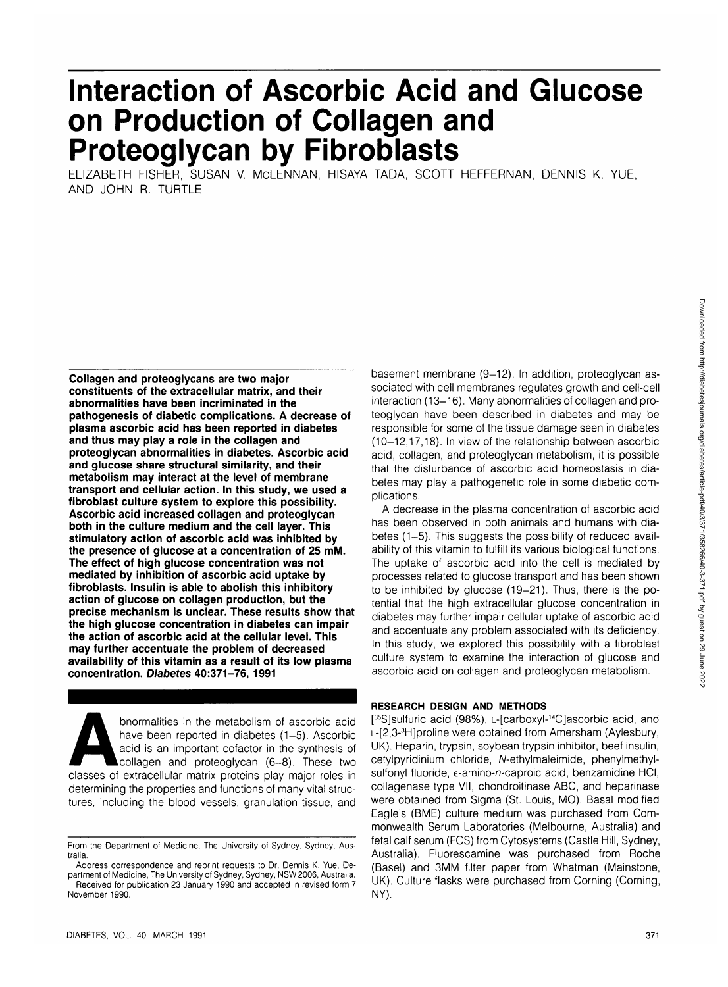# **Interaction of Ascorbic Acid and Glucose on Production of Collagen and Proteoglycan by Fibroblasts**

ELIZABETH FISHER, SUSAN V. McLENNAN, HISAYA TADA, SCOTT HEFFERNAN, DENNIS K. YUE, AND JOHN R. TURTLE

**Collagen and proteoglycans are two major constituents of the extracellular matrix, and their abnormalities have been incriminated in the pathogenesis of diabetic complications. A decrease of plasma ascorbic acid has been reported in diabetes and thus may play a role in the collagen and proteoglycan abnormalities in diabetes. Ascorbic acid and glucose share structural similarity, and their metabolism may interact at the level of membrane transport and cellular action. In this study, we used a fibroblast culture system to explore this possibility. Ascorbic acid increased collagen and proteoglycan both in the culture medium and the cell layer. This stimulatory action of ascorbic acid was inhibited by the presence of glucose at a concentration of 25 mM. The effect of high glucose concentration was not mediated by inhibition of ascorbic acid uptake by fibroblasts. Insulin is able to abolish this inhibitory action of glucose on collagen production, but the precise mechanism is unclear. These results show that the high glucose concentration in diabetes can impair the action of ascorbic acid at the cellular level. This may further accentuate the problem of decreased availability of this vitamin as a result of its low plasma concentration. Diabetes 40:371-76, 1991**

bnormalities in the metabolism of ascorbic acid<br>have been reported in diabetes (1–5). Ascorbic<br>acid is an important cofactor in the synthesis of<br>collagen and proteoglycan (6–8). These two<br>classes of extracellular matrix pr have been reported in diabetes (1-5). Ascorbic acid is an important cofactor in the synthesis of collagen and proteoglycan (6-8). These two classes of extracellular matrix proteins play major roles in determining the properties and functions of many vital structures, including the blood vessels, granulation tissue, and

basement membrane (9-12). In addition, proteoglycan associated with cell membranes regulates growth and cell-cell interaction (13-16). Many abnormalities of collagen and proteoglycan have been described in diabetes and may be responsible for some of the tissue damage seen in diabetes (10-12,17,18). In view of the relationship between ascorbic acid, collagen, and proteoglycan metabolism, it is possible that the disturbance of ascorbic acid homeostasis in diabetes may play a pathogenetic role in some diabetic complications. A decrease in the plasma concentration of ascorbic acid

has been observed in both animals and humans with diabetes (1-5). This suggests the possibility of reduced availability of this vitamin to fulfill its various biological functions. The uptake of ascorbic acid into the cell is mediated by processes related to glucose transport and has been shown to be inhibited by glucose (19-21). Thus, there is the potential that the high extracellular glucose concentration in diabetes may further impair cellular uptake of ascorbic acid and accentuate any problem associated with its deficiency. In this study, we explored this possibility with a fibroblast culture system to examine the interaction of glucose and ascorbic acid on collagen and proteoglycan metabolism.

# **RESEARCH DESIGN AND METHODS**

[<sup>35</sup>S]sulfuric acid (98%), L-[carboxyl-<sup>14</sup>C]ascorbic acid, and L-[2,3-<sup>3</sup>H]proline were obtained from Amersham (Aylesbury, UK). Heparin, trypsin, soybean trypsin inhibitor, beef insulin, cetylpyridinium chloride, A/-ethylmaleimide, phenylmethylsulfonyl fluoride, e-amino-n-caproic acid, benzamidine HCI, collagenase type VII, chondroitinase ABC, and heparinase were obtained from Sigma (St. Louis, MO). Basal modified Eagle's (BME) culture medium was purchased from Commonwealth Serum Laboratories (Melbourne, Australia) and fetal calf serum (FCS) from Cytosystems (Castle Hill, Sydney, Australia). Fluorescamine was purchased from Roche (Basel) and 3MM filter paper from Whatman (Mainstone, UK). Culture flasks were purchased from Corning (Corning, NY).

From the Department of Medicine, The University of Sydney, Sydney, Australia.

Address correspondence and reprint requests to Dr. Dennis K. Yue, Department of Medicine, The University of Sydney, Sydney, NSW 2006, Australia. Received for publication 23 January 1990 and accepted in revised form 7 November 1990.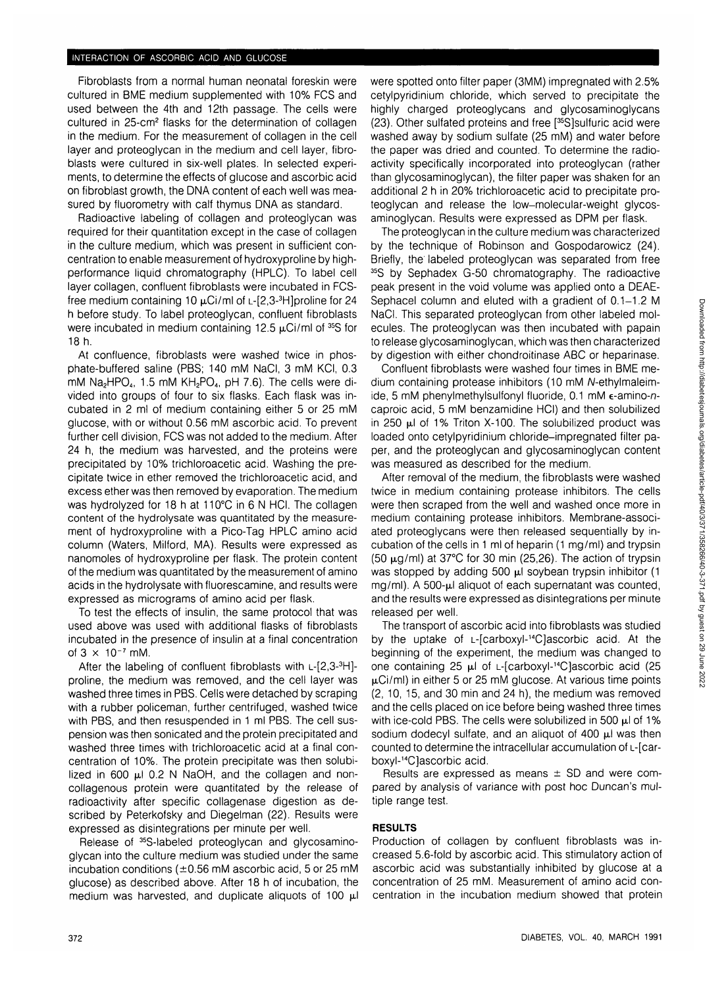Fibroblasts from a normal human neonatal foreskin were cultured in BME medium supplemented with 10% FCS and used between the 4th and 12th passage. The cells were cultured in 25-cm<sup>2</sup> flasks for the determination of collagen in the medium. For the measurement of collagen in the cell layer and proteoglycan in the medium and cell layer, fibroblasts were cultured in six-well plates. In selected experiments, to determine the effects of glucose and ascorbic acid on fibroblast growth, the DNA content of each well was measured by fluorometry with calf thymus DNA as standard.

Radioactive labeling of collagen and proteoglycan was required for their quantitation except in the case of collagen in the culture medium, which was present in sufficient concentration to enable measurement of hydroxyproline by highperformance liquid chromatography (HPLC). To label cell layer collagen, confluent fibroblasts were incubated in FCSfree medium containing 10  $\mu$ Ci/ml of L-[2,3-3H]proline for 24 h before study. To label proteoglycan, confluent fibroblasts were incubated in medium containing 12.5  $\mu$ Ci/ml of <sup>35</sup>S for 18 h.

At confluence, fibroblasts were washed twice in phosphate-buffered saline (PBS; 140 mM NaCI, 3 mM KCI, 0.3 mM  $Na<sub>2</sub>HPO<sub>4</sub>$ , 1.5 mM  $KH<sub>2</sub>PO<sub>4</sub>$ , pH 7.6). The cells were divided into groups of four to six flasks. Each flask was incubated in 2 ml of medium containing either 5 or 25 mM glucose, with or without 0.56 mM ascorbic acid. To prevent further cell division, FCS was not added to the medium. After 24 h, the medium was harvested, and the proteins were precipitated by 10% trichloroacetic acid. Washing the precipitate twice in ether removed the trichloroacetic acid, and excess ether was then removed by evaporation. The medium was hydrolyzed for 18 h at 110°C in 6 N HCI. The collagen content of the hydrolysate was quantitated by the measurement of hydroxyproline with a Pico-Tag HPLC amino acid column (Waters, Milford, MA). Results were expressed as nanomoles of hydroxyproline per flask. The protein content of the medium was quantitated by the measurement of amino acids in the hydrolysate with fluorescamine, and results were expressed as micrograms of amino acid per flask.

To test the effects of insulin, the same protocol that was used above was used with additional flasks of fibroblasts incubated in the presence of insulin at a final concentration of  $3 \times 10^{-7}$  mM.

After the labeling of confluent fibroblasts with  $L - [2,3^{-3}]$ proline, the medium was removed, and the cell layer was washed three times in PBS. Cells were detached by scraping with a rubber policeman, further centrifuged, washed twice with PBS, and then resuspended in 1 ml PBS. The cell suspension was then sonicated and the protein precipitated and washed three times with trichloroacetic acid at a final concentration of 10%. The protein precipitate was then solubilized in 600  $\mu$ I 0.2 N NaOH, and the collagen and noncollagenous protein were quantitated by the release of radioactivity after specific collagenase digestion as described by Peterkofsky and Diegelman (22). Results were expressed as disintegrations per minute per well.

Release of <sup>35</sup>S-labeled proteoglycan and glycosaminoglycan into the culture medium was studied under the same incubation conditions ( $\pm 0.56$  mM ascorbic acid, 5 or 25 mM glucose) as described above. After 18 h of incubation, the medium was harvested, and duplicate aliquots of 100  $\mu$ I were spotted onto filter paper (3MM) impregnated with 2.5% cetylpyridinium chloride, which served to precipitate the highly charged proteoglycans and glycosaminoglycans (23). Other sulfated proteins and free [35S]sulfuric acid were washed away by sodium sulfate (25 mM) and water before the paper was dried and counted. To determine the radioactivity specifically incorporated into proteoglycan (rather than glycosaminoglycan), the filter paper was shaken for an additional 2 h in 20% trichloroacetic acid to precipitate proteoglycan and release the low-molecular-weight glycosaminoglycan. Results were expressed as DPM per flask.

The proteoglycan in the culture medium was characterized by the technique of Robinson and Gospodarowicz (24). Briefly, the labeled proteoglycan was separated from free 35S by Sephadex G-50 chromatography. The radioactive peak present in the void volume was applied onto a DEAE-Sephacel column and eluted with a gradient of 0.1-1.2 M NaCI. This separated proteoglycan from other labeled molecules. The proteoglycan was then incubated with papain to release glycosaminoglycan, which was then characterized by digestion with either chondroitinase ABC or heparinase.

Confluent fibroblasts were washed four times in BME medium containing protease inhibitors (10 mM A/-ethylmaleimide, 5 mM phenylmethylsulfonyl fluoride, 0.1 mM e-amino-ncaproic acid, 5 mM benzamidine HCI) and then solubilized in 250  $\mu$ l of 1% Triton X-100. The solubilized product was loaded onto cetylpyridinium chloride-impregnated filter paper, and the proteoglycan and glycosaminoglycan content was measured as described for the medium.

After removal of the medium, the fibroblasts were washed twice in medium containing protease inhibitors. The cells were then scraped from the well and washed once more in medium containing protease inhibitors. Membrane-associated proteoglycans were then released sequentially by incubation of the cells in 1 ml of heparin (1 mg/ml) and trypsin (50  $\mu$ g/ml) at 37°C for 30 min (25,26). The action of trypsin was stopped by adding 500  $\mu$ l soybean trypsin inhibitor (1 mg/ml). A 500- $\mu$ l aliquot of each supernatant was counted, and the results were expressed as disintegrations per minute released per well.

The transport of ascorbic acid into fibroblasts was studied by the uptake of L-[carboxyl-14C]ascorbic acid. At the beginning of the experiment, the medium was changed to one containing 25  $\mu$ l of L-[carboxyl-<sup>14</sup>C]ascorbic acid (25  $\mu$ Ci/ml) in either 5 or 25 mM glucose. At various time points (2, 10, 15, and 30 min and 24 h), the medium was removed and the cells placed on ice before being washed three times with ice-cold PBS. The cells were solubilized in 500  $\mu$ l of 1% sodium dodecyl sulfate, and an aliquot of 400  $\mu$ l was then counted to determine the intracellular accumulation of L-[carboxyl-14C]ascorbic acid.

Results are expressed as means  $\pm$  SD and were compared by analysis of variance with post hoc Duncan's multiple range test.

# **RESULTS**

Production of collagen by confluent fibroblasts was increased 5.6-fold by ascorbic acid. This stimulatory action of ascorbic acid was substantially inhibited by glucose at a concentration of 25 mM. Measurement of amino acid concentration in the incubation medium showed that protein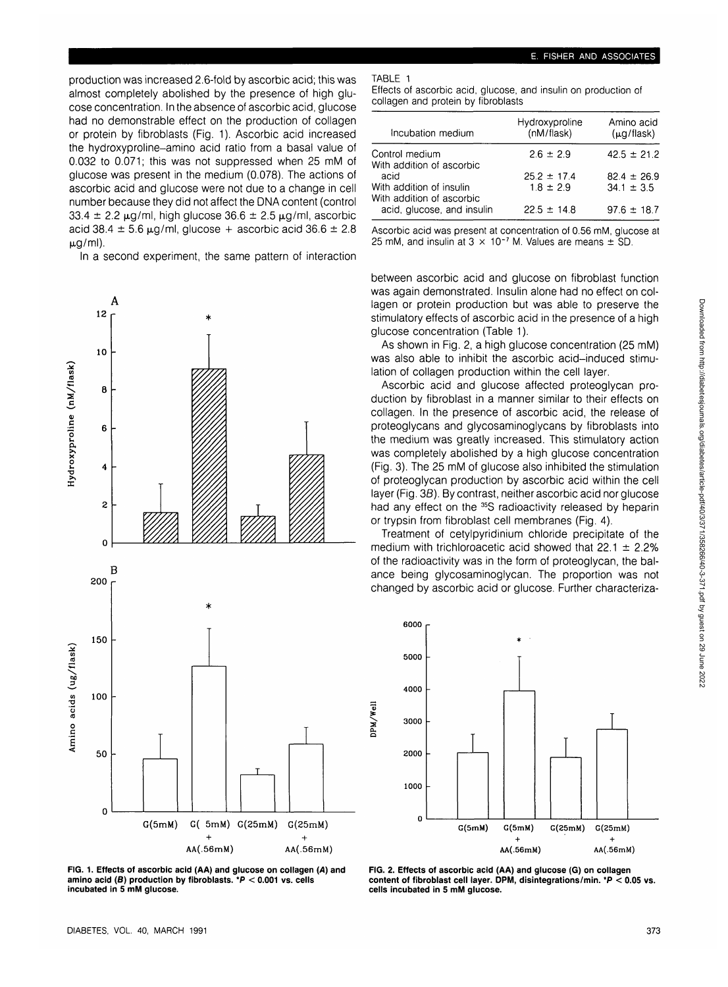production was increased 2.6-fold by ascorbic acid; this was almost completely abolished by the presence of high glucose concentration. In the absence of ascorbic acid, glucose had no demonstrable effect on the production of collagen or protein by fibroblasts (Fig. 1). Ascorbic acid increased the hydroxyproline-amino acid ratio from a basal value of 0.032 to 0.071; this was not suppressed when 25 mM of glucose was present in the medium (0.078). The actions of ascorbic acid and glucose were not due to a change in cell number because they did not affect the DNA content (control  $33.4 \pm 2.2$  µg/ml, high glucose  $36.6 \pm 2.5$  µg/ml, ascorbic acid 38.4  $\pm$  5.6 µg/ml, glucose + ascorbic acid 36.6  $\pm$  2.8  $\mu$ g/ml).

In a second experiment, the same pattern of interaction



#### **FIG. 1. Effects of ascorbic acid (AA) and glucose on collagen {A) and amino acid (B) production by fibroblasts. \*P < 0.001 vs. cells incubated in 5 mM glucose.**

# TABLE 1

Effects of ascorbic acid, glucose, and insulin on production of collagen and protein by fibroblasts

| Incubation medium                                             | Hydroxyproline<br>(nM/flask)     | Amino acid<br>$(\mu q / \text{flask})$ |
|---------------------------------------------------------------|----------------------------------|----------------------------------------|
| Control medium<br>With addition of ascorbic                   | $2.6 \pm 2.9$                    | $42.5 \pm 21.2$                        |
| acid<br>With addition of insulin<br>With addition of ascorbic | $25.2 \pm 17.4$<br>$1.8 \pm 2.9$ | $82.4 \pm 26.9$<br>$34.1 \pm 3.5$      |
| acid, glucose, and insulin                                    | $22.5 \pm 14.8$                  | $97.6 \pm 18.7$                        |

Ascorbic acid was present at concentration of 0.56 mM, glucose at 25 mM, and insulin at  $3 \times 10^{-7}$  M. Values are means  $\pm$  SD.

between ascorbic acid and glucose on fibroblast function was again demonstrated. Insulin alone had no effect on collagen or protein production but was able to preserve the stimulatory effects of ascorbic acid in the presence of a high glucose concentration (Table 1).

As shown in Fig. 2, a high glucose concentration (25 mM) was also able to inhibit the ascorbic acid-induced stimulation of collagen production within the cell layer.

Ascorbic acid and glucose affected proteoglycan production by fibroblast in a manner similar to their effects on collagen. In the presence of ascorbic acid, the release of proteoglycans and glycosaminoglycans by fibroblasts into the medium was greatly increased. This stimulatory action was completely abolished by a high glucose concentration (Fig. 3). The 25 mM of glucose also inhibited the stimulation of proteoglycan production by ascorbic acid within the cell layer (Fig. 36). By contrast, neither ascorbic acid nor glucose had any effect on the <sup>35</sup>S radioactivity released by heparin or trypsin from fibroblast cell membranes (Fig. 4).

Treatment of cetylpyridinium chloride precipitate of the medium with trichloroacetic acid showed that  $22.1 \pm 2.2\%$ of the radioactivity was in the form of proteoglycan, the balance being glycosaminoglycan. The proportion was not changed by ascorbic acid or glucose. Further characteriza-



**FIG. 2. Effects of ascorbic acid (AA) and glucose (G) on collagen content of fibroblast cell layer. DPM, disintegrations/min. \*P < 0.05 vs. cells incubated in 5 mM glucose.**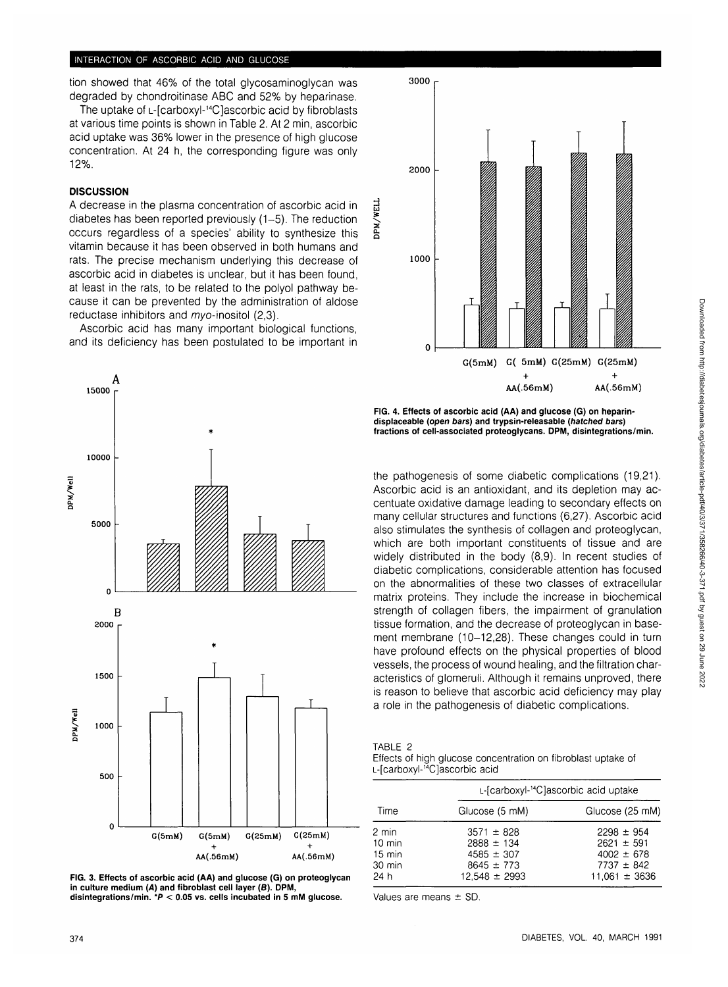#### INTERACTION OF ASCORBIC ACID AND GLUCOSE

tion showed that 46% of the total glycosaminoglycan was degraded by chondroitinase ABC and 52% by heparinase.

The uptake of L-[carboxyl-14C]ascorbic acid by fibroblasts at various time points is shown in Table 2. At 2 min, ascorbic acid uptake was 36% lower in the presence of high glucose concentration. At 24 h, the corresponding figure was only 12%.

## **DISCUSSION**

A decrease in the plasma concentration of ascorbic acid in diabetes has been reported previously (1-5). The reduction occurs regardless of a species' ability to synthesize this vitamin because it has been observed in both humans and rats. The precise mechanism underlying this decrease of ascorbic acid in diabetes is unclear, but it has been found, at least in the rats, to be related to the polyol pathway because it can be prevented by the administration of aldose reductase inhibitors and myo-inositol (2,3).

Ascorbic acid has many important biological functions, and its deficiency has been postulated to be important in







**FIG. 4. Effects of ascorbic acid (AA) and glucose (G) on heparindisplaceable (open bars) and trypsin-releasable (hatched bars) fractions of cell-associated proteoglycans. DPM, disintegrations/min.**

the pathogenesis of some diabetic complications (19,21). Ascorbic acid is an antioxidant, and its depletion may accentuate oxidative damage leading to secondary effects on many cellular structures and functions (6,27). Ascorbic acid also stimulates the synthesis of collagen and proteoglycan, which are both important constituents of tissue and are widely distributed in the body (8,9). In recent studies of diabetic complications, considerable attention has focused on the abnormalities of these two classes of extracellular matrix proteins. They include the increase in biochemical strength of collagen fibers, the impairment of granulation tissue formation, and the decrease of proteoglycan in basement membrane (10-12,28). These changes could in turn have profound effects on the physical properties of blood vessels, the process of wound healing, and the filtration characteristics of glomeruli. Although it remains unproved, there is reason to believe that ascorbic acid deficiency may play a role in the pathogenesis of diabetic complications.

| TABLE 2 |  |                            |  |
|---------|--|----------------------------|--|
|         |  | لمستحجبات والمأوا فمستعلات |  |

Effects of high glucose concentration on fibroblast uptake of L-fcarboxyl-^CJascorbic acid

|                                                                 | L-[carboxyl- <sup>14</sup> C]ascorbic acid uptake                                         |                                                                                           |  |
|-----------------------------------------------------------------|-------------------------------------------------------------------------------------------|-------------------------------------------------------------------------------------------|--|
| Time                                                            | Glucose (5 mM)                                                                            | Glucose (25 mM)                                                                           |  |
| 2 min<br>$10 \text{ min}$<br>$15 \text{ min}$<br>30 min<br>24 h | $3571 \pm 828$<br>$2888 \pm 134$<br>$4585 \pm 307$<br>$8645 \pm 773$<br>$12.548 \pm 2993$ | $2298 \pm 954$<br>$2621 \pm 591$<br>$4002 \pm 678$<br>$7737 \pm 842$<br>$11,061 \pm 3636$ |  |

Values are means ± SD.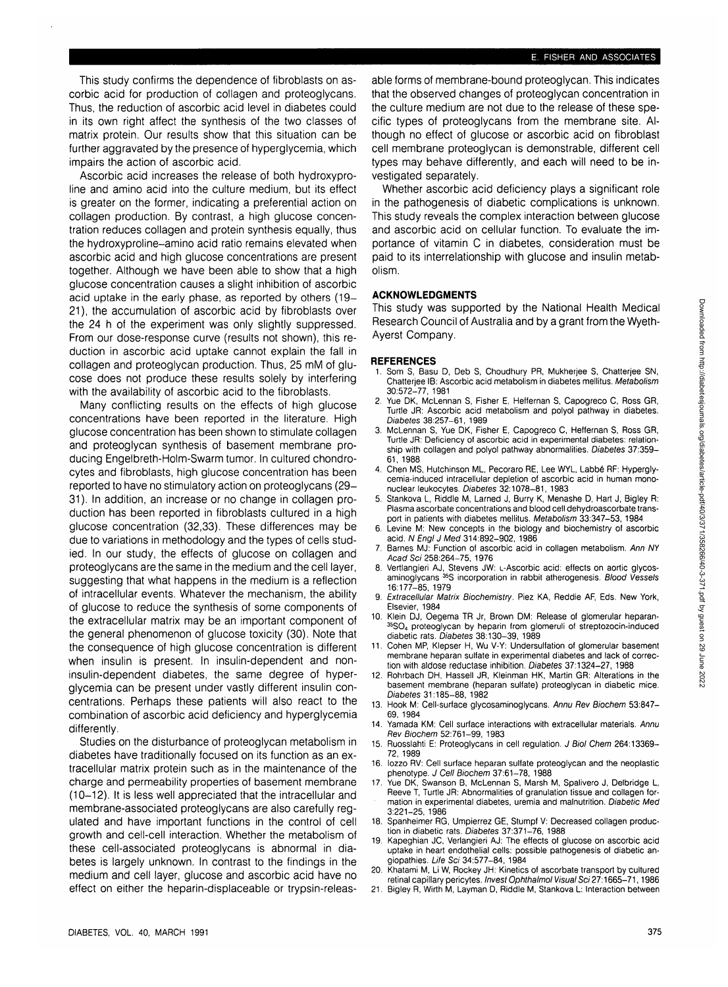This study confirms the dependence of fibroblasts on ascorbic acid for production of collagen and proteoglycans. Thus, the reduction of ascorbic acid level in diabetes could in its own right affect the synthesis of the two classes of matrix protein. Our results show that this situation can be further aggravated by the presence of hyperglycemia, which impairs the action of ascorbic acid.

Ascorbic acid increases the release of both hydroxyproline and amino acid into the culture medium, but its effect is greater on the former, indicating a preferential action on collagen production. By contrast, a high glucose concentration reduces collagen and protein synthesis equally, thus the hydroxyproline-amino acid ratio remains elevated when ascorbic acid and high glucose concentrations are present together. Although we have been able to show that a high glucose concentration causes a slight inhibition of ascorbic acid uptake in the early phase, as reported by others (19- 21), the accumulation of ascorbic acid by fibroblasts over the 24 h of the experiment was only slightly suppressed. From our dose-response curve (results not shown), this reduction in ascorbic acid uptake cannot explain the fall in collagen and proteoglycan production. Thus, 25 mM of glucose does not produce these results solely by interfering with the availability of ascorbic acid to the fibroblasts.

Many conflicting results on the effects of high glucose concentrations have been reported in the literature. High glucose concentration has been shown to stimulate collagen and proteoglycan synthesis of basement membrane producing Engelbreth-Holm-Swarm tumor. In cultured chondrocytes and fibroblasts, high glucose concentration has been reported to have no stimulatory action on proteoglycans (29- 31). In addition, an increase or no change in collagen production has been reported in fibroblasts cultured in a high glucose concentration (32,33). These differences may be due to variations in methodology and the types of cells studied. In our study, the effects of glucose on collagen and proteoglycans are the same in the medium and the cell layer, suggesting that what happens in the medium is a reflection of intracellular events. Whatever the mechanism, the ability of glucose to reduce the synthesis of some components of the extracellular matrix may be an important component of the general phenomenon of glucose toxicity (30). Note that the consequence of high glucose concentration is different when insulin is present. In insulin-dependent and noninsulin-dependent diabetes, the same degree of hyperglycemia can be present under vastly different insulin concentrations. Perhaps these patients will also react to the combination of ascorbic acid deficiency and hyperglycemia differently.

Studies on the disturbance of proteoglycan metabolism in diabetes have traditionally focused on its function as an extracellular matrix protein such as in the maintenance of the charge and permeability properties of basement membrane (10-12). It is less well appreciated that the intracellular and membrane-associated proteoglycans are also carefully regulated and have important functions in the control of cell growth and cell-cell interaction. Whether the metabolism of these cell-associated proteoglycans is abnormal in diabetes is largely unknown. In contrast to the findings in the medium and cell layer, glucose and ascorbic acid have no effect on either the heparin-displaceable or trypsin-releasable forms of membrane-bound proteoglycan. This indicates that the observed changes of proteoglycan concentration in the culture medium are not due to the release of these specific types of proteoglycans from the membrane site. Although no effect of glucose or ascorbic acid on fibroblast cell membrane proteoglycan is demonstrable, different cell types may behave differently, and each will need to be investigated separately.

Whether ascorbic acid deficiency plays a significant role in the pathogenesis of diabetic complications is unknown. This study reveals the complex interaction between glucose and ascorbic acid on cellular function. To evaluate the importance of vitamin C in diabetes, consideration must be paid to its interrelationship with glucose and insulin metabolism.

# **ACKNOWLEDGMENTS**

This study was supported by the National Health Medical Research Council of Australia and by a grant from the Wyeth-Ayerst Company.

# **REFERENCES**

- 1. Som S, Basu D, Deb S, Choudhury PR, Mukherjee S, Chatterjee SN, Chatterjee IB: Ascorbic acid metabolism in diabetes mellitus. Metabolism 30:572-77, 1981
- 2. Yue DK, McLennan S, Fisher E, Heffeman S, Capogreco C, Ross GR, Turtle JR: Ascorbic acid metabolism and polyol pathway in diabetes. Diabetes 38:257-61, 1989
- 3. McLennan S, Yue DK, Fisher E, Capogreco C, Heffernan S, Ross GR, Turtle JR: Deficiency of ascorbic acid in experimental diabetes: relationship with collagen and polyol pathway abnormalities. Diabetes 37:359- 61.1988
- 4. Chen MS, Hutchinson ML, Pecoraro RE, Lee WYL, Labbe RF: Hyperglycemia-induced intracellular depletion of ascorbic acid in human mononuclear leukocytes. Diabetes 32:1078-81, 1983
- 5. Stankova L, Riddle M, Lamed J, Burry K, Menashe D, Hart J, Bigley R: Plasma ascorbate concentrations and blood cell dehydroascorbate transport in patients with diabetes mellitus. Metabolism 33:347-53, 1984
- 6. Levine M: New concepts in the biology and biochemistry of ascorbic acid. N Engl J Med 314:892-902, 1986
- 7. Barnes MJ: Function of ascorbic acid in collagen metabolism. Ann NY Acad Sci 258:264-75, 1976
- 8. Vertlangieri AJ, Stevens JW: L-Ascorbic acid: effects on aortic glycos-aminoglycans 35S incorporation in rabbit atherogenesis. 8/ood Vessels 16:177-85, 1979
- 9. Extracellular Matrix Biochemistry. Piez KA, Reddie AF, Eds. New York, Elsevier, 1984<br>Klein DJ, Oegema TR Jr, Brown DM: Release of glomerular heparan-
- 10. Klein DJ, Oegema TR Jr, Brown DM: Release of glomerular heparan- 35SO4 proteoglycan by heparin from glomeruli of streptozocin-induced diabetic rats. Diabetes 38:130-39, 1989
- 11. Cohen MP, Klepser H, Wu V-Y: Undersulfation of glomerular basement membrane heparan sulfate in experimental diabetes and lack of correction with aldose reductase inhibition. Diabetes 37:1324-27, 1988
- 12. Rohrbach DH, Hassell JR, Kleinman HK, Martin GR: Alterations in the basement membrane (heparan sulfate) proteoglycan in diabetic mice. Diabetes 31:185-88, 1982
- 13. Hook M: Cell-surface glycosaminoglycans. Annu Rev Biochem 53:847- 69,1984
- 14. Yamada KM: Cell surface interactions with extracellular materials. Annu Rev Biochem 52:761-99, 1983
- 15. Ruosslahti E: Proteoglycans in cell regulation. J Biol Chem 264:13369- 72.1989
- 16. lozzo RV: Cell surface heparan sulfate proteoglycan and the neoplastic phenotype. J Cell Biochem 37:61-78, 1988
- 17. Yue DK, Swanson B, McLennan S, Marsh M, Spalivero J, Delbridge L, Reeve T, Turtle JR: Abnormalities of granulation tissue and collagen formation in experimental diabetes, uremia and malnutrition. Diabetic Med 3:221-25, 1986
- 18. Spanheimer RG, Umpierrez GE, Stumpf V: Decreased collagen production in diabetic rats. Diabetes 37:371-76, 1988
- 19. Kapeghian JC, Verlangieri AJ: The effects of glucose on ascorbic acid uptake in heart endothelial cells: possible pathogenesis of diabetic angiopathies. Life Sci 34:577-84, 1984
- 20. Khatami M, Li W, Rockey JH: Kinetics of ascorbate transport by cultured retinal capillary pericytes. Invest Ophthalmol Visual Sci 27:1665-71,1986
- 21. Bigley R, Wirth M, Layman D, Riddle M, Stankova L: Interaction between